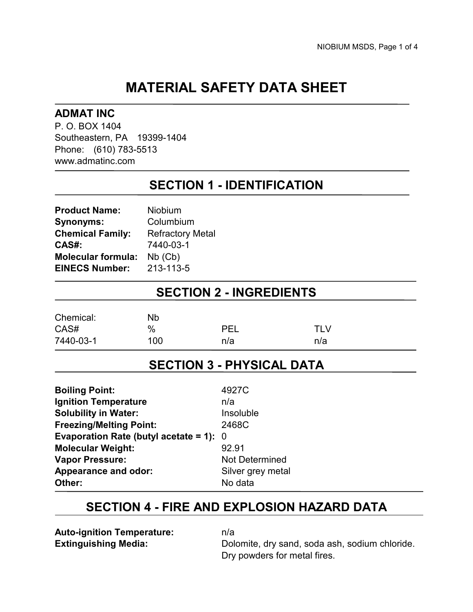# **MATERIAL SAFETY DATA SHEET**

### **ADMAT INC**

P. O. BOX 1404 Southeastern, PA 19399-1404 Phone: (610) 783-5513 www.admatinc.com

## **SECTION 1 - IDENTIFICATION**

| <b>Product Name:</b>      | Niobium                 |
|---------------------------|-------------------------|
| <b>Synonyms:</b>          | Columbium               |
| <b>Chemical Family:</b>   | <b>Refractory Metal</b> |
| CAS#:                     | 7440-03-1               |
| <b>Molecular formula:</b> | $Nb$ ( $Cb$ )           |
| <b>EINECS Number:</b>     | 213-113-5               |

## **SECTION 2 - INGREDIENTS**

| Chemical: | <b>Nb</b> |     |      |
|-----------|-----------|-----|------|
| CAS#      | %         | DEI | TI V |
| 7440-03-1 | 100       | n/a | n/a  |

### **SECTION 3 - PHYSICAL DATA**

| <b>Boiling Point:</b>                     | 4927C             |
|-------------------------------------------|-------------------|
| <b>Ignition Temperature</b>               | n/a               |
| <b>Solubility in Water:</b>               | Insoluble         |
| <b>Freezing/Melting Point:</b>            | 2468C             |
| Evaporation Rate (butyl acetate = 1): $0$ |                   |
| <b>Molecular Weight:</b>                  | 92.91             |
| <b>Vapor Pressure:</b>                    | Not Determined    |
| <b>Appearance and odor:</b>               | Silver grey metal |
| Other:                                    | No data           |

### **SECTION 4 - FIRE AND EXPLOSION HAZARD DATA**

**Auto-ignition Temperature:** n/a

**Extinguishing Media:** Dolomite, dry sand, soda ash, sodium chloride. Dry powders for metal fires.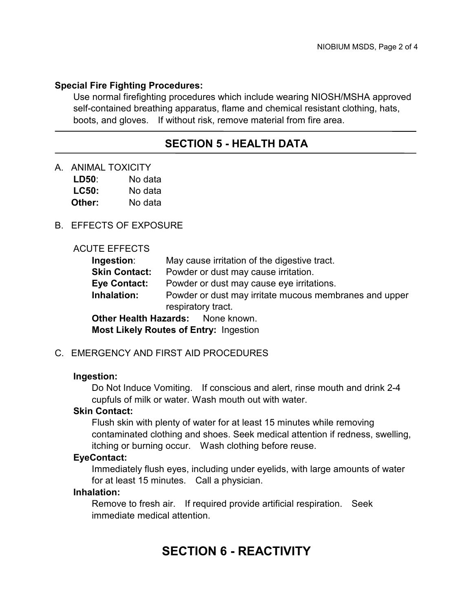#### **Special Fire Fighting Procedures:**

Use normal firefighting procedures which include wearing NIOSH/MSHA approved self-contained breathing apparatus, flame and chemical resistant clothing, hats, boots, and gloves. If without risk, remove material from fire area.

### **SECTION 5 - HEALTH DATA**

A. ANIMAL TOXICITY

| LD50:        | No data |
|--------------|---------|
| <b>LC50:</b> | No data |
| Other:       | No data |

#### B. EFFECTS OF EXPOSURE

#### ACUTE EFFECTS

| Ingestion:                                    | May cause irritation of the digestive tract.           |  |
|-----------------------------------------------|--------------------------------------------------------|--|
| <b>Skin Contact:</b>                          | Powder or dust may cause irritation.                   |  |
| <b>Eye Contact:</b>                           | Powder or dust may cause eye irritations.              |  |
| Inhalation:                                   | Powder or dust may irritate mucous membranes and upper |  |
|                                               | respiratory tract.                                     |  |
| <b>Other Health Hazards:</b> None known.      |                                                        |  |
| <b>Most Likely Routes of Entry: Ingestion</b> |                                                        |  |

#### C. EMERGENCY AND FIRST AID PROCEDURES

#### **Ingestion:**

Do Not Induce Vomiting. If conscious and alert, rinse mouth and drink 2-4 cupfuls of milk or water. Wash mouth out with water.

#### **Skin Contact:**

Flush skin with plenty of water for at least 15 minutes while removing contaminated clothing and shoes. Seek medical attention if redness, swelling, itching or burning occur. Wash clothing before reuse.

#### **EyeContact:**

Immediately flush eyes, including under eyelids, with large amounts of water for at least 15 minutes. Call a physician.

#### **Inhalation:**

Remove to fresh air. If required provide artificial respiration. Seek immediate medical attention.

# **SECTION 6 - REACTIVITY**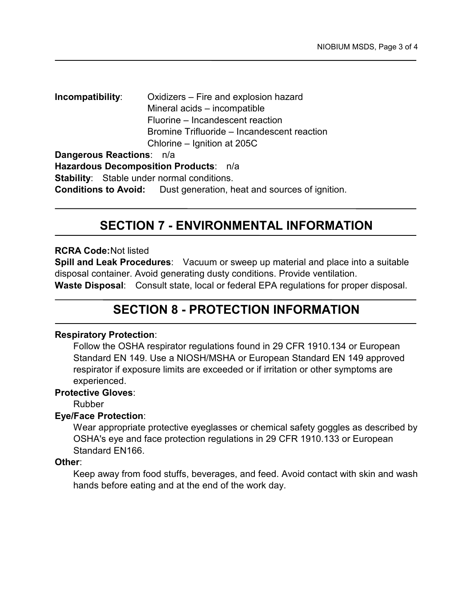**Incompatibility**: Oxidizers – Fire and explosion hazard Mineral acids – incompatible Fluorine – Incandescent reaction Bromine Trifluoride – Incandescent reaction Chlorine – Ignition at 205C **Dangerous Reactions**: n/a

**Hazardous Decomposition Products**: n/a **Stability**: Stable under normal conditions. **Conditions to Avoid:** Dust generation, heat and sources of ignition.

# **SECTION 7 - ENVIRONMENTAL INFORMATION**

#### **RCRA Code:** Not listed

**Spill and Leak Procedures**: Vacuum or sweep up material and place into a suitable disposal container. Avoid generating dusty conditions. Provide ventilation. **Waste Disposal**: Consult state, local or federal EPA regulations for proper disposal.

# **SECTION 8 - PROTECTION INFORMATION**

### **Respiratory Protection**:

Follow the OSHA respirator regulations found in 29 CFR 1910.134 or European Standard EN 149. Use a NIOSH/MSHA or European Standard EN 149 approved respirator if exposure limits are exceeded or if irritation or other symptoms are experienced.

#### **Protective Gloves**:

Rubber

### **Eye/Face Protection**:

Wear appropriate protective eyeglasses or chemical safety goggles as described by OSHA's eye and face protection regulations in 29 CFR 1910.133 or European Standard EN166.

#### **Other**:

Keep away from food stuffs, beverages, and feed. Avoid contact with skin and wash hands before eating and at the end of the work day.